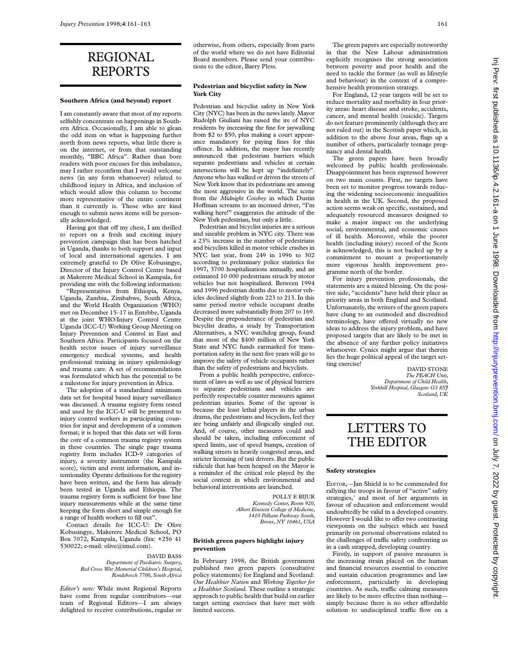# REGIONAL REPORTS

#### **Southern Africa (and beyond) report**

I am constantly aware that most of my reports selfishly concentrate on happenings in Southern Africa. Occasionally, I am able to glean the odd item on what is happening further north from news reports, what little there is on the internet, or from that outstanding monthly, "BBC Africa". Rather than bore readers with poor excuses for this imbalance, may I rather reconfirm that I would welcome news (in any form whatsoever) related to childhood injury in Africa, and inclusion of which would allow this column to become more representative of the entire continent than it currently is. Those who are kind enough to submit news items will be personally acknowledged.

Having got that off my chest, I am thrilled to report on a fresh and exciting injury prevention campaign that has been hatched in Uganda, thanks to both support and input of local and international agencies. I am extremely grateful to Dr Olive Kobusingye, Director of the Injury Control Centre based at Makerere Medical School in Kampala, for providing me with the following information:

"Representatives from Ethiopia, Kenya, Uganda, Zambia, Zimbabwe, South Africa, and the World Health Organization (WHO) met on December 15–17 in Entebbe, Uganda at the joint WHO/Injury Control Centre Uganda (ICC-U) Working Group Meeting on Injury Prevention and Control in East and Southern Africa. Participants focused on the health sector issues of injury surveillance emergency medical systems, and health professional training in injury epidemiology and trauma care. A set of recommendations was formulated which has the potential to be a milestone for injury prevention in Africa.

The adoption of a standardized minimum data set for hospital based injury surveillance was discussed. A trauma registry form tested and used by the ICC-U will be presented to injury control workers in participating countries for input and development of a common format; it is hoped that this data set will form the core of a common trauma registry system in these countries. The single page trauma registry form includes ICD-9 categories of injury, a severity instrument (the Kampala score), victim and event information, and intentionality. Operate definitions for the registry have been written, and the form has already been tested in Uganda and Ethiopia. The trauma registry form is sufficient for base line injury measurements while at the same time keeping the form short and simple enough for a range of health workers to fill out".

Contact details for ICC-U: Dr Olive Kobusingye, Makerere Medical School, PO Box 7072, Kampala, Uganda (fax: +256 41 530022; e-mail: olive@imul.com).

#### DAVID BASS *Department of Paediatric Surgery, Red Cross War Memorial Children's Hospital, Rondebosch 7700, South Africa*

*Editor's note:* While most Regional Reports have come from regular contributors—our team of Regional Editors—I am always delighted to receive contributions, regular or otherwise, from others, especially from parts of the world where we do not have Editorial Board members. Please send your contributions to the editor, Barry Pless.

## **Pedestrian and bicyclist safety in New York City**

Pedestrian and bicyclist safety in New York City (NYC) has been in the news lately.Mayor Rudolph Giuliani has raised the ire of NYC residents by increasing the fine for jaywalking from \$2 to \$50, plus making a court appearance mandatory for paying fines for this offence. In addition, the mayor has recently announced that pedestrian barriers which separate pedestrians and vehicles at certain intersections will be kept up "indefinitely". Anyone who has walked or driven the streets of New York know that its pedestrians are among the most aggressive in the world. The scene from the *Midnight Cowboy* in which Dustin Hoffman screams to an incensed driver, "I'm walking here!" exaggerates the attitude of the New York pedestrian, but only a little.

Pedestrian and bicyclist injuries are a serious and sizeable problem in NYC city. There was a 23% increase in the number of pedestrians and bicyclists killed in motor vehicle crashes in NYC last year, from 249 in 1996 to 302 according to preliminary police statistics for 1997, 3700 hospitalizations annually, and an estimated 10 000 pedestrians struck by motor vehicles but not hospitalized. Between 1994 and 1996 pedestrian deaths due to motor vehicles declined slightly from 223 to 213. In this same period motor vehicle occupant deaths decreased more substantially from 207 to 169. Despite the preponderance of pedestrian and bicyclist deaths, a study by Transportation Alternatives, a NYC watchdog group, found that most of the \$400 million of New York State and NYC funds earmarked for transportation safety in the next five years will go to improve the safety of vehicle occupants rather than the safety of pedestrians and bicyclists.

From a public health perspective, enforcement of laws as well as use of physical barriers to separate pedestrians and vehicles are perfectly respectable counter measures against pedestrian injuries. Some of the uproar is because the least lethal players in the urban drama, the pedestrians and bicyclists, feel they are being unfairly and illogically singled out. And, of course, other measures could and should be taken, including enforcement of speed limits, use of speed bumps, creation of walking streets in heavily congested areas, and stricter licensing of taxi drivers. But the public ridicule that has been heaped on the Mayor is a reminder of the critical role played by the social context in which environmental and behavioral interventions are launched.

> POLLY E BIJUR *Kennedy Center, Room 920, Albert Einstein College of Medicine, 1410 Pelham Parkway South, Bronx, NY 10461, USA*

### **British green papers highlight injury prevention**

In February 1998, the British government published two green papers (consultative policy statements) for England and Scotland: *Our Healthier Nation* and *Working Together for a Healthier Scotland.* These outline a strategic approach to public health that build on earlier target setting exercises that have met with limited success.

The green papers are especially noteworthy in that the New Labour administration explicitly recognises the strong association between poverty and poor health and the need to tackle the former (as well as lifestyle and behaviour) in the context of a comprehensive health promotion strategy.

For England, 12 year targets will be set to reduce mortality and morbidity in four priority areas: heart disease and stroke, accidents, cancer, and mental health (suicide). Targets do not feature prominently (although they are not ruled out) in the Scottish paper which, in addition to the above four areas, flags up a number of others, particularly teenage pregnancy and dental health.

The green papers have been broadly welcomed by public health professionals. Disappointment has been expressed however on two main counts. First, no targets have been set to monitor progress towards reducing the widening socioeconomic inequalities in health in the UK. Second, the proposed action seems weak on specific, sustained, and adequately resourced measures designed to make a major impact on the underlying social, environmental, and economic causes of ill health. Moreover, while the poorer health (including injury) record of the Scots is acknowledged, this is not backed up by a commitment to mount a proportionately more vigorous health improvement programme north of the border.

For injury prevention professionals, the statements are a mixed blessing. On the positive side, "accidents" have held their place as priority areas in both England and Scotland. Unfortunately, the writers of the green papers have clung to an outmoded and discredited terminology, have offered virtually no new ideas to address the injury problem, and have proposed targets that are likely to be met in the absence of any further policy initiatives whatsoever. Cynics might argue that therein lies the huge political appeal of the target setting exercise!

DAVID STONE *The PEACH Unit, Department of Child Health, Yorkhill Hospital, Glasgow G3 8SJ Scotland, UK*

# LETTERS TO THE EDITOR

#### **Safety strategies**

EDITOR,—Jan Shield is to be commended for rallying the troops in favour of "active" safety strategies,<sup>1</sup> and most of her arguments in favour of education and enforcement would undoubtedly be valid in a developed country. However I would like to offer two contrasting viewpoints on the subject which are based primarily on personal observations related to the challenges of traffic safety confronting us in a cash strapped, developing country.

Firstly, in support of passive measures is the increasing strain placed on the human and financial resources essential to conceive and sustain education programmes and law enforcement, particularly in developing countries. As such, traffic calming measures are likely to be more effective than nothing simply because there is no other affordable solution to undisciplined traffic flow on a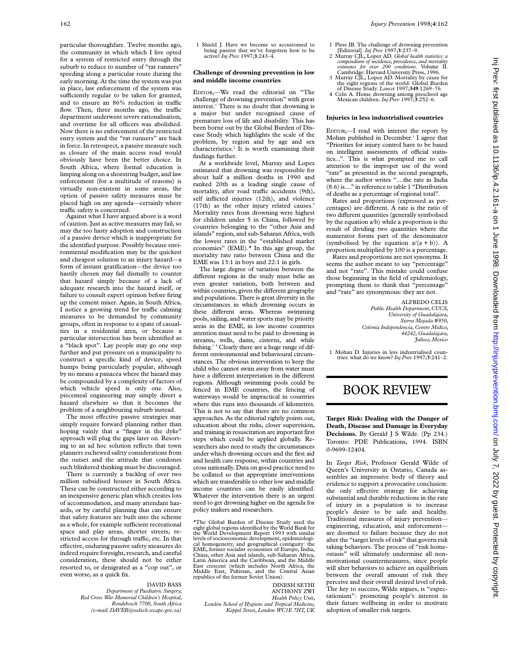particular thoroughfare. Twelve months ago, the community in which which I live opted for a system of restricted entry through the suburb to reduce to number of "rat runners" speeding along a particular route during the early morning. At the time the system was put in place, law enforcement of the system was sufficiently regular to be taken for granted, and to ensure an  $86\%$  reduction in traffic flow. Then, three months ago, the traffic department underwent severe rationalisation, and overtime for all officers was abolished. Now there is no enforcement of the restricted entry system and the "rat runners" are back in force. In retrospect, a passive measure such as closure of the main access road would obviously have been the better choice. In South Africa, where formal education is limping along on a shoestring budget, and law enforcement (for a multitude of reasons) is virtually non-existent in some areas, the option of passive safety measures must be placed high on any agenda—certainly where traffic safety is concerned.

Against what I have argued above is a word of caution. Just as active measures may fail, so may the too hasty adoption and construction of a passive device which is inappropriate for the identified purpose. Possibly because environmental modification may be the quickest and cheapest solution to an injury hazard—a form of instant gratification—the device too hastily chosen may fail dismally to counter that hazard simply because of a lack of adequate research into the hazard itself, or failure to consult expert opinion before firing up the cement mixer. Again, in South Africa, I notice a growing trend for traffic calming measures to be demanded by community groups, often in response to a spate of casualties in a residential area, or because a particular intersection has been identified as a "black spot". Lay people may go one step further and put pressure on a municipality to construct a specific kind of device, speed humps being particularly popular, although by no means a panacea where the hazard may be compounded by a complexity of factors of which vehicle speed is only one. Also, piecemeal engineering may simply divert a hazard elsewhere so that it becomes the problem of a neighbouring suburb instead.

The most effective passive strategies may simply require forward planning rather than hoping vainly that a "finger in the dyke" approach will plug the gaps later on. Resorting to an ad hoc solution reflects that town planners eschewed safety considerations from the outset and the attitude that condones such blinkered thinking must be discouraged.

There is currently a backlog of over two million subsidised houses in South Africa. These can be constructed either according to an inexpensive generic plan which creates lots of accommodation, and many attendant hazards, or by careful planning that can ensure that safety features are built into the scheme as a whole, for example sufficient recreational space and play areas, shorter streets, restricted access for through traffic, etc. In that effective, enduring passive safety measures do indeed require foresight, research, and careful consideration, these should not be either resorted to, or denigrated as a "cop out", or even worse, as a quick fix.

#### DAVID BASS

*Department of Paediatric Surgery, Red Cross War Memorial Children's Hospital, Rondebosch 7700, South Africa (e-mail: DAVEB@redxch.wcape.gov.za)*

1. Shield J. Have we become so accustomed to being passive that we've forgotten how to be active? *Inj Prev* 1997;**3**:243–4.

## **Challenge of drowning prevention in low and middle income countries**

EDITOR,—We read the editorial on "The challenge of drowning prevention" with great interest.<sup>1</sup> There is no doubt that drowning is a major but under recognised cause of premature loss of life and disability. This has been borne out by the Global Burden of Disease Study which highlights the scale of the problem, by region and by age and sex characteristics.2 It is worth examining their findings further.

At a worldwide level, Murray and Lopez estimated that drowning was responsible for about half a million deaths in 1990 and ranked 20th as a leading single cause of mortality, after road traffic accidents (9th), self inflicted injuries (12th), and violence (17th) as the other injury related causes.<sup>3</sup> Mortality rates from drowning were highest for children under 5 in China, followed by countries belonging to the "other Asia and islands" region, and sub-Saharan Africa, with the lowest rates in the "established market economies" (EME).\* In this age group, the mortality rate ratio between China and the EME was 13:1 in boys and 22:1 in girls.

The large degree of variation between the different regions in the study must belie an even greater variation, both between and within countries, given the different geography and populations. There is great diversity in the circumstances in which drowning occurs in these different areas. Whereas swimming pools, sailing, and water sports may be priority areas in the EME, in low income countries attention must need to be paid to drowning in streams, wells, dams, cisterns, and while fishing.1 4 Clearly there are a huge range of different environmental and behavioural circumstances. The obvious intervention to keep the child who cannot swim away from water must have a different interpretation in the different regions. Although swimming pools could be fenced in EME countries, the fencing of waterways would be impractical in countries where this runs into thousands of kilometres. This is not to say that there are no common approaches. As the editorial rightly points out, education about the risks, closer supervision, and training in resuscitation are important first steps which could be applied globally. Researchers also need to study the circumstances under which drowning occurs and the first aid and health care response, within countries and cross nationally. Data on good practice need to be collated so that appropriate interventions which are transferable to other low and middle income countries can be easily identified. Whatever the intervention there is an urgent need to get drowning higher on the agenda for policy makers and researchers.

\*The Global Burden of Disease Study used the eight global regions identified by the World Bank for the World Development Report 1993 with similar levels of socioeconomic development, epidemiological homogeneity, and geographical contiguity: the EME, former socialist economies of Europe, India, China, other Asia and islands, sub-Saharan Africa, Latin America and the Caribbean, and the Middle East crescent (which includes North Africa, the Middle East, Pakistan, and the Central Asian republics of the former Soviet Union).

DINESH SETHI ANTHONY ZWI *Health Policy Unit, London School of Hygiene and Tropical Medicine, Keppel Street, London WC1E 7HT, UK*

- 1 Pless IB. The challenge of drowning prevention [Editorial]. *Inj Prev* 1997;**3**:237–9.
- 2 Murray CJL, Lopez AD. *Global health statistics: a compendium of incidence, prevalence, and mortality estimates for over 200 conditions*. Volume II. Cambridge: Harvard University Press, 1996.
- 3 Murray CJL, Lopez AD. Mortality by cause for the eight regions of the world: Global Burden of Disease Study. *Lancet* 1997;**349**:1269–76.
- 4 Celis A. Home drowning among preschool age Mexican children. *Inj Prev* 1997;**3**:252–6.

#### **Injuries in less industrialised countries**

EDITOR,—I read with interest the report by Mohan published in December.<sup>1</sup> I agree that "Priorities for injury control have to be based on intelligent assessments of official statistics...". This is what prompted me to call attention to the improper use of the word "rate" as presented in the second paragraph, where the author writes "....the rate in India (8.6) is...." in reference to table 1 "Distribution of deaths as a percentage of regional total".

Rates and proportions (expressed as percentages) are different. A rate is the ratio of two different quantities (generally symbolised by the equation a/b) while a proportion is the result of dividing two quantities where the numerator forms part of the denominator (symbolised by the equation  $a/(a + b)$ ). A proportion multiplied by 100 is a percentage.

Rates and proportions are not synonyms. It seems the author meant to say "percentage" and not "rate". This mistake could confuse those beginning in the field of epidemiology, prompting them to think that "percentage" and "rate" are synonymous: they are not.

> ALFREDO CELIS *Public Health Department, CUCS, University of Guadalajara, Sierra Mojada #950, Colonia Independencia, Centro Midico, 44242, Guadalajara, Jalisco, Mexico*

1 Mohan D. Injuries in less industrialised countries: what do we know? *Inj Prev* 1997;**3**:241–2.

# BOOK REVIEW

**Target Risk: Dealing with the Danger of Death, Disease and Damage in Everyday Decisions.** By Gerald J S Wilde. (Pp 234.) Toronto: PDE Publications, 1994. ISBN 0-9699-12404.

In *Target Risk*, Professor Gerald Wilde of Queen's University in Ontario, Canada assembles an impressive body of theory and evidence to support a provocative conclusion: the only effective strategy for achieving substantial and durable reductions in the rate of injury in a population is to increase people's desire to be safe and healthy. Traditional measures of injury prevention engineering, education, and enforcement are doomed to failure because they do not alter the "target levels of risk" that govern risk taking behaviors. The process of "risk homeostasis" will ultimately undermine all nonmotivational countermeasures, since people will alter behaviors to achieve an equilibrium between the overall amount of risk they perceive and their overall desired level of risk. The key to success, Wilde argues, is "expectationism": promoting people's interest in their future wellbeing in order to motivate adoption of smaller risk targets.